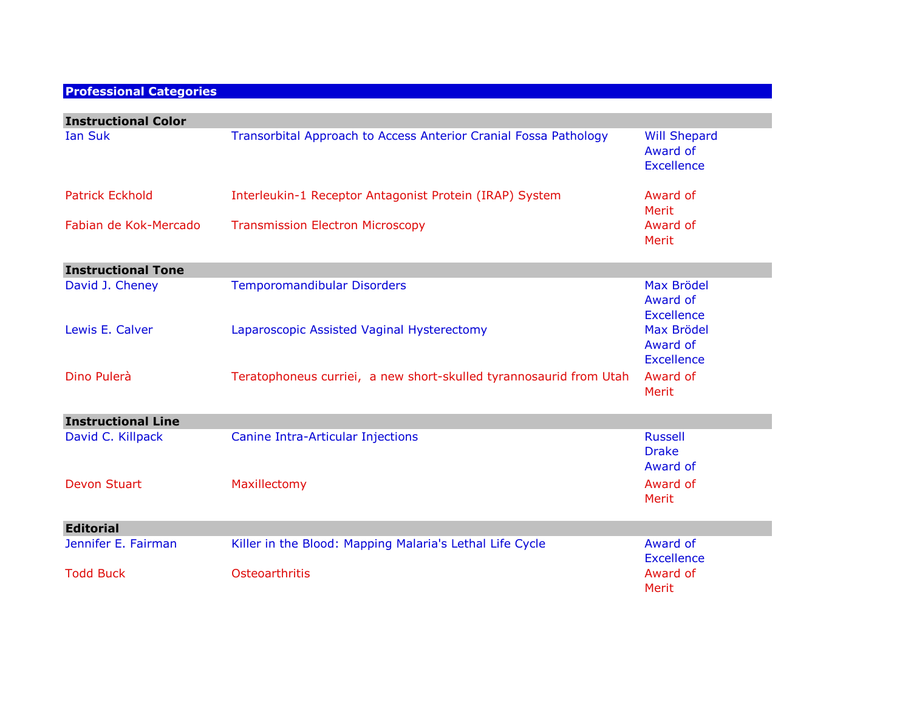## **Professional Categories**

| <b>Instructional Color</b> |                                                                    |                                                      |
|----------------------------|--------------------------------------------------------------------|------------------------------------------------------|
| <b>Ian Suk</b>             | Transorbital Approach to Access Anterior Cranial Fossa Pathology   | <b>Will Shepard</b><br>Award of<br><b>Excellence</b> |
| <b>Patrick Eckhold</b>     | Interleukin-1 Receptor Antagonist Protein (IRAP) System            | Award of<br>Merit                                    |
| Fabian de Kok-Mercado      | <b>Transmission Electron Microscopy</b>                            | Award of<br>Merit                                    |
| <b>Instructional Tone</b>  |                                                                    |                                                      |
| David J. Cheney            | <b>Temporomandibular Disorders</b>                                 | <b>Max Brödel</b><br>Award of<br><b>Excellence</b>   |
| Lewis E. Calver            | Laparoscopic Assisted Vaginal Hysterectomy                         | Max Brödel<br>Award of<br><b>Excellence</b>          |
| Dino Pulerà                | Teratophoneus curriei, a new short-skulled tyrannosaurid from Utah | Award of<br>Merit                                    |
| <b>Instructional Line</b>  |                                                                    |                                                      |
| David C. Killpack          | <b>Canine Intra-Articular Injections</b>                           | <b>Russell</b><br><b>Drake</b><br>Award of           |
| <b>Devon Stuart</b>        | Maxillectomy                                                       | Award of<br>Merit                                    |
| <b>Editorial</b>           |                                                                    |                                                      |
| Jennifer E. Fairman        | Killer in the Blood: Mapping Malaria's Lethal Life Cycle           | Award of<br><b>Excellence</b>                        |
| <b>Todd Buck</b>           | Osteoarthritis                                                     | Award of<br>Merit                                    |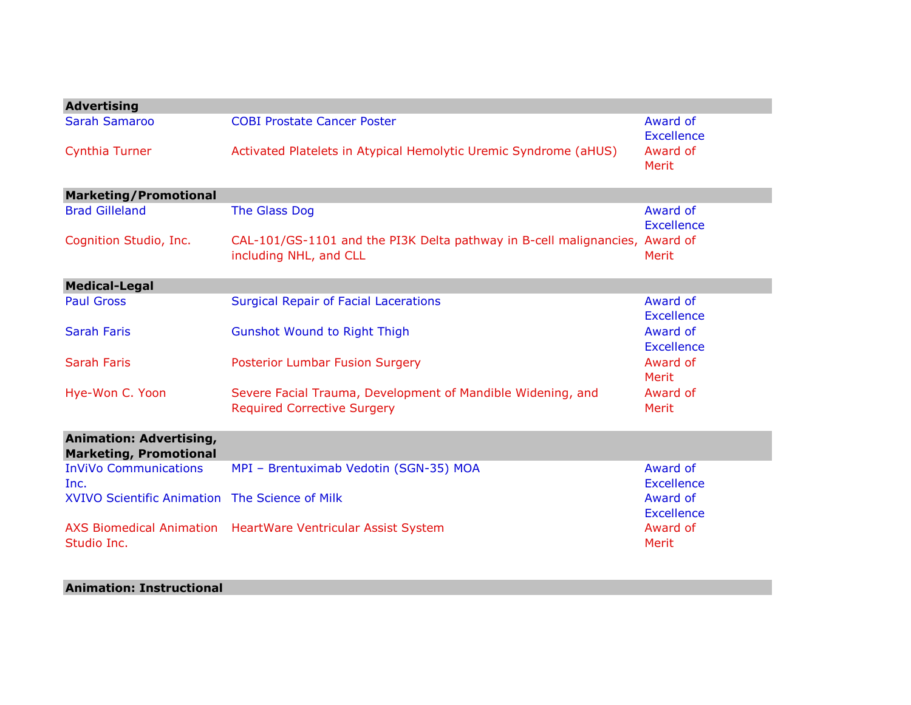| <b>Advertising</b>                                              |                                                                                                       |                               |
|-----------------------------------------------------------------|-------------------------------------------------------------------------------------------------------|-------------------------------|
| <b>Sarah Samaroo</b>                                            | <b>COBI Prostate Cancer Poster</b>                                                                    | Award of<br><b>Excellence</b> |
| <b>Cynthia Turner</b>                                           | Activated Platelets in Atypical Hemolytic Uremic Syndrome (aHUS)                                      | Award of<br>Merit             |
| <b>Marketing/Promotional</b>                                    |                                                                                                       |                               |
| <b>Brad Gilleland</b>                                           | The Glass Dog                                                                                         | Award of<br><b>Excellence</b> |
| Cognition Studio, Inc.                                          | CAL-101/GS-1101 and the PI3K Delta pathway in B-cell malignancies, Award of<br>including NHL, and CLL | Merit                         |
| <b>Medical-Legal</b>                                            |                                                                                                       |                               |
| <b>Paul Gross</b>                                               | <b>Surgical Repair of Facial Lacerations</b>                                                          | Award of<br><b>Excellence</b> |
| <b>Sarah Faris</b>                                              | <b>Gunshot Wound to Right Thigh</b>                                                                   | Award of<br>Excellence        |
| <b>Sarah Faris</b>                                              | <b>Posterior Lumbar Fusion Surgery</b>                                                                | Award of<br>Merit             |
| Hye-Won C. Yoon                                                 | Severe Facial Trauma, Development of Mandible Widening, and<br><b>Required Corrective Surgery</b>     | Award of<br><b>Merit</b>      |
| <b>Animation: Advertising,</b><br><b>Marketing, Promotional</b> |                                                                                                       |                               |
| <b>InViVo Communications</b><br>Inc.                            | MPI - Brentuximab Vedotin (SGN-35) MOA                                                                | Award of<br><b>Excellence</b> |
| XVIVO Scientific Animation The Science of Milk                  |                                                                                                       | Award of<br><b>Excellence</b> |
| <b>AXS Biomedical Animation</b><br>Studio Inc.                  | <b>HeartWare Ventricular Assist System</b>                                                            | Award of<br>Merit             |

## **Animation: Instructional**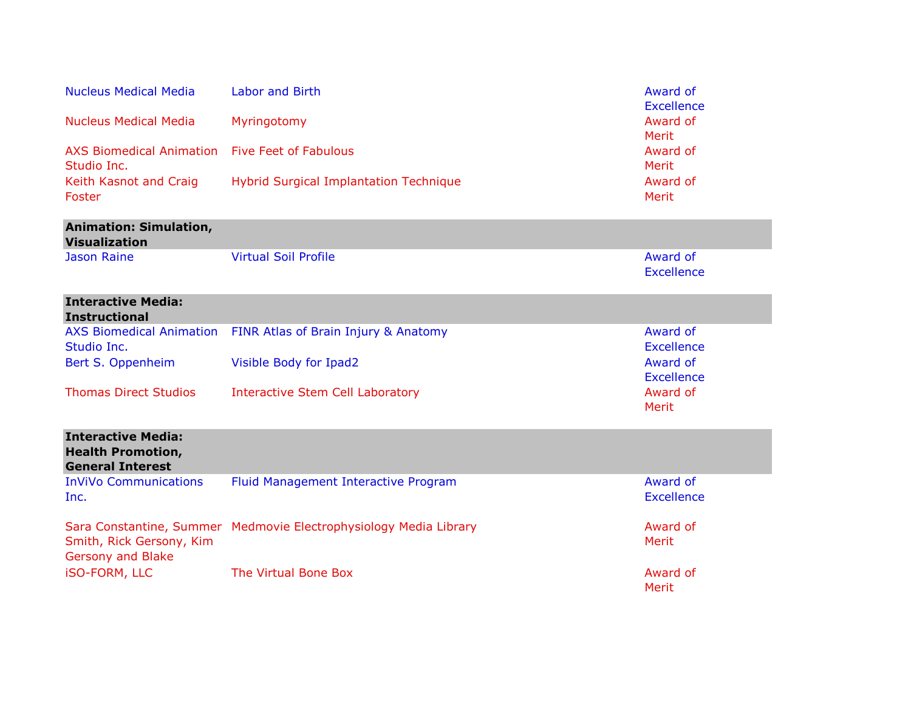| <b>Nucleus Medical Media</b>                                                     | <b>Labor and Birth</b>                                            | Award of<br><b>Excellence</b> |
|----------------------------------------------------------------------------------|-------------------------------------------------------------------|-------------------------------|
| <b>Nucleus Medical Media</b>                                                     | Myringotomy                                                       | Award of<br>Merit             |
| <b>AXS Biomedical Animation</b><br>Studio Inc.                                   | <b>Five Feet of Fabulous</b>                                      | Award of<br>Merit             |
| Keith Kasnot and Craig<br>Foster                                                 | <b>Hybrid Surgical Implantation Technique</b>                     | Award of<br><b>Merit</b>      |
| <b>Animation: Simulation,</b><br><b>Visualization</b>                            |                                                                   |                               |
| <b>Jason Raine</b>                                                               | <b>Virtual Soil Profile</b>                                       | Award of<br><b>Excellence</b> |
| <b>Interactive Media:</b><br><b>Instructional</b>                                |                                                                   |                               |
| Studio Inc.                                                                      | AXS Biomedical Animation FINR Atlas of Brain Injury & Anatomy     | Award of<br><b>Excellence</b> |
| Bert S. Oppenheim                                                                | Visible Body for Ipad2                                            | Award of<br><b>Excellence</b> |
| <b>Thomas Direct Studios</b>                                                     | <b>Interactive Stem Cell Laboratory</b>                           | Award of<br><b>Merit</b>      |
| <b>Interactive Media:</b><br><b>Health Promotion,</b><br><b>General Interest</b> |                                                                   |                               |
| <b>InViVo Communications</b><br>Inc.                                             | Fluid Management Interactive Program                              | Award of<br><b>Excellence</b> |
| Smith, Rick Gersony, Kim<br>Gersony and Blake                                    | Sara Constantine, Summer Medmovie Electrophysiology Media Library | Award of<br><b>Merit</b>      |
| <b>iSO-FORM, LLC</b>                                                             | The Virtual Bone Box                                              | Award of<br>Merit             |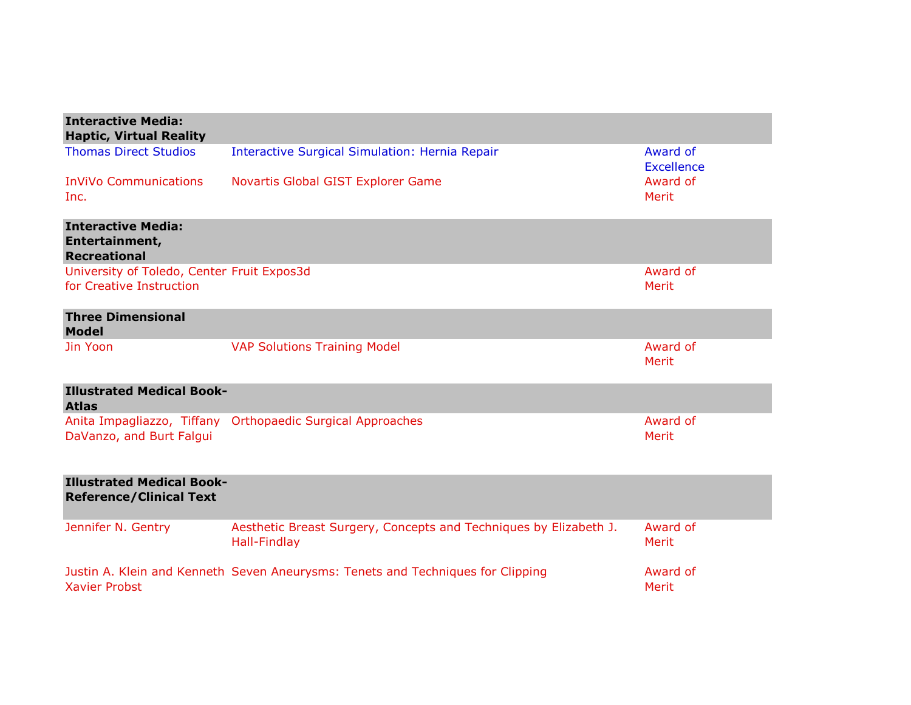| <b>Interactive Media:</b><br><b>Haptic, Virtual Reality</b>            |                                                                                          |                               |
|------------------------------------------------------------------------|------------------------------------------------------------------------------------------|-------------------------------|
| <b>Thomas Direct Studios</b>                                           | <b>Interactive Surgical Simulation: Hernia Repair</b>                                    | Award of<br><b>Excellence</b> |
| <b>InViVo Communications</b><br>Inc.                                   | Novartis Global GIST Explorer Game                                                       | Award of<br>Merit             |
| <b>Interactive Media:</b><br>Entertainment,<br><b>Recreational</b>     |                                                                                          |                               |
| University of Toledo, Center Fruit Expos3d<br>for Creative Instruction |                                                                                          | Award of<br>Merit             |
| <b>Three Dimensional</b><br><b>Model</b>                               |                                                                                          |                               |
| Jin Yoon                                                               | <b>VAP Solutions Training Model</b>                                                      | Award of<br><b>Merit</b>      |
| <b>Illustrated Medical Book-</b><br><b>Atlas</b>                       |                                                                                          |                               |
| DaVanzo, and Burt Falgui                                               | Anita Impagliazzo, Tiffany Orthopaedic Surgical Approaches                               | Award of<br><b>Merit</b>      |
| <b>Illustrated Medical Book-</b><br><b>Reference/Clinical Text</b>     |                                                                                          |                               |
| Jennifer N. Gentry                                                     | Aesthetic Breast Surgery, Concepts and Techniques by Elizabeth J.<br><b>Hall-Findlay</b> | Award of<br>Merit             |
| <b>Xavier Probst</b>                                                   | Justin A. Klein and Kenneth Seven Aneurysms: Tenets and Techniques for Clipping          | Award of<br>Merit             |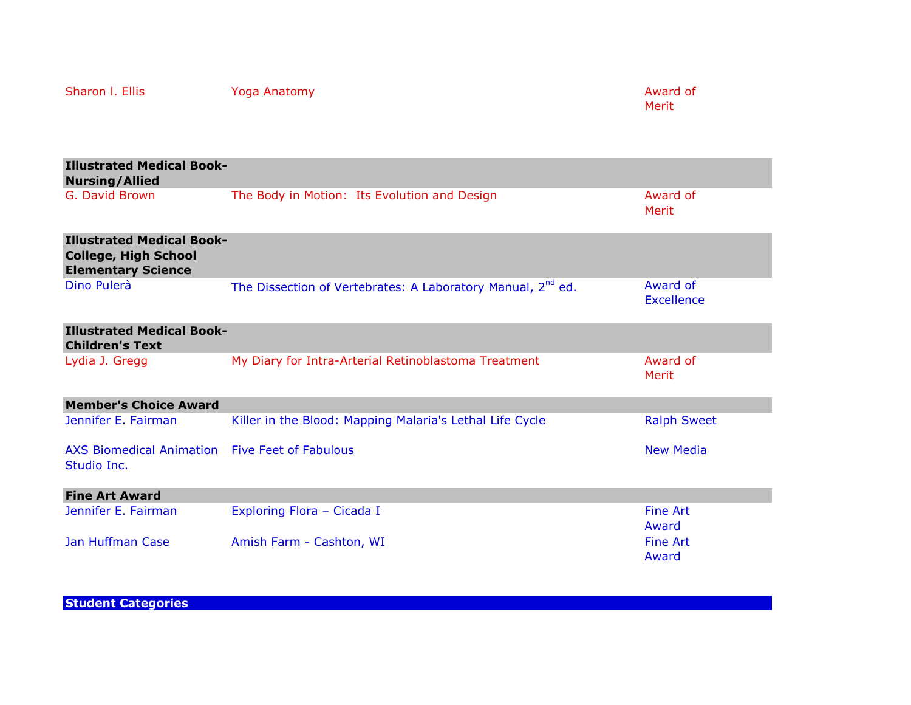| <b>Illustrated Medical Book-</b><br><b>Nursing/Allied</b>                                    |                                                                         |                          |
|----------------------------------------------------------------------------------------------|-------------------------------------------------------------------------|--------------------------|
| G. David Brown                                                                               | The Body in Motion: Its Evolution and Design                            | Award of<br>Merit        |
| <b>Illustrated Medical Book-</b><br><b>College, High School</b><br><b>Elementary Science</b> |                                                                         |                          |
| Dino Pulerà                                                                                  | The Dissection of Vertebrates: A Laboratory Manual, 2 <sup>nd</sup> ed. | Award of<br>Excellence   |
| <b>Illustrated Medical Book-</b><br><b>Children's Text</b>                                   |                                                                         |                          |
| Lydia J. Gregg                                                                               | My Diary for Intra-Arterial Retinoblastoma Treatment                    | Award of<br>Merit        |
| <b>Member's Choice Award</b>                                                                 |                                                                         |                          |
| Jennifer E. Fairman                                                                          | Killer in the Blood: Mapping Malaria's Lethal Life Cycle                | <b>Ralph Sweet</b>       |
| <b>AXS Biomedical Animation</b><br>Studio Inc.                                               | <b>Five Feet of Fabulous</b>                                            | <b>New Media</b>         |
| <b>Fine Art Award</b>                                                                        |                                                                         |                          |
| Jennifer E. Fairman                                                                          | Exploring Flora - Cicada I                                              | <b>Fine Art</b><br>Award |
| <b>Jan Huffman Case</b>                                                                      | Amish Farm - Cashton, WI                                                | <b>Fine Art</b><br>Award |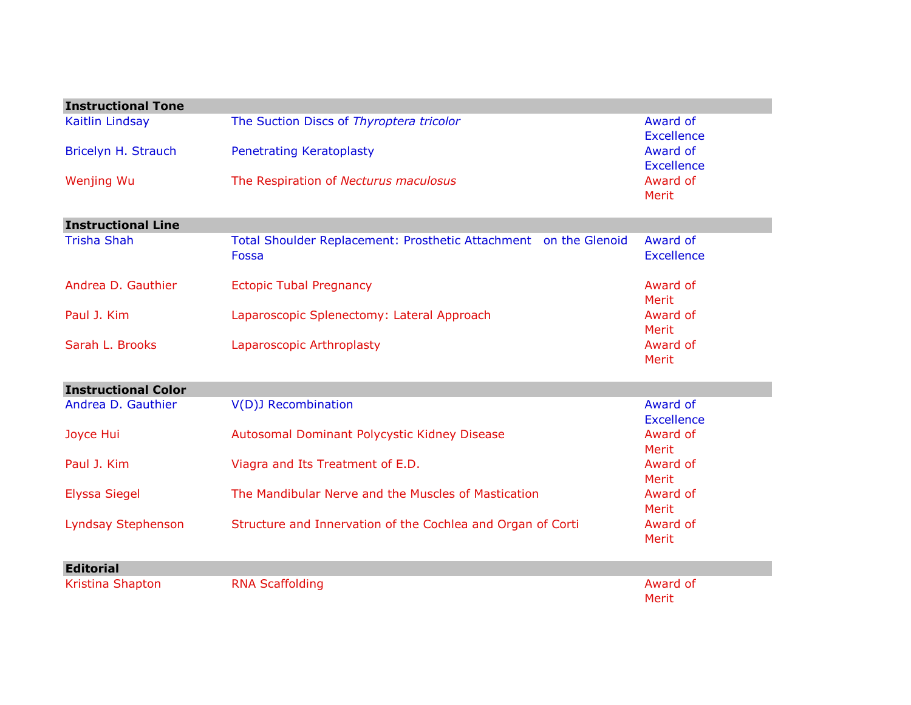| <b>Instructional Tone</b>  |                                                                  |                               |
|----------------------------|------------------------------------------------------------------|-------------------------------|
| Kaitlin Lindsay            | The Suction Discs of Thyroptera tricolor                         | Award of                      |
|                            |                                                                  | <b>Excellence</b>             |
| Bricelyn H. Strauch        | <b>Penetrating Keratoplasty</b>                                  | Award of<br><b>Excellence</b> |
| <b>Wenjing Wu</b>          | The Respiration of Necturus maculosus                            | Award of                      |
|                            |                                                                  | Merit                         |
| <b>Instructional Line</b>  |                                                                  |                               |
| <b>Trisha Shah</b>         | Total Shoulder Replacement: Prosthetic Attachment on the Glenoid | Award of                      |
|                            | Fossa                                                            | <b>Excellence</b>             |
| Andrea D. Gauthier         | <b>Ectopic Tubal Pregnancy</b>                                   | Award of                      |
|                            |                                                                  | Merit                         |
| Paul J. Kim                | Laparoscopic Splenectomy: Lateral Approach                       | Award of                      |
|                            |                                                                  | Merit                         |
| Sarah L. Brooks            | Laparoscopic Arthroplasty                                        | Award of                      |
|                            |                                                                  | Merit                         |
| <b>Instructional Color</b> |                                                                  |                               |
| Andrea D. Gauthier         | <b>V(D)J Recombination</b>                                       | Award of                      |
|                            |                                                                  | <b>Excellence</b>             |
| Joyce Hui                  | Autosomal Dominant Polycystic Kidney Disease                     | Award of                      |
|                            |                                                                  | Merit                         |
| Paul J. Kim                | Viagra and Its Treatment of E.D.                                 | Award of                      |
|                            | The Mandibular Nerve and the Muscles of Mastication              | Merit<br>Award of             |
| <b>Elyssa Siegel</b>       |                                                                  | Merit                         |
| Lyndsay Stephenson         | Structure and Innervation of the Cochlea and Organ of Corti      | Award of                      |
|                            |                                                                  | Merit                         |
| <b>Editorial</b>           |                                                                  |                               |
| Kristina Shapton           | <b>RNA Scaffolding</b>                                           | Award of                      |
|                            |                                                                  | Merit                         |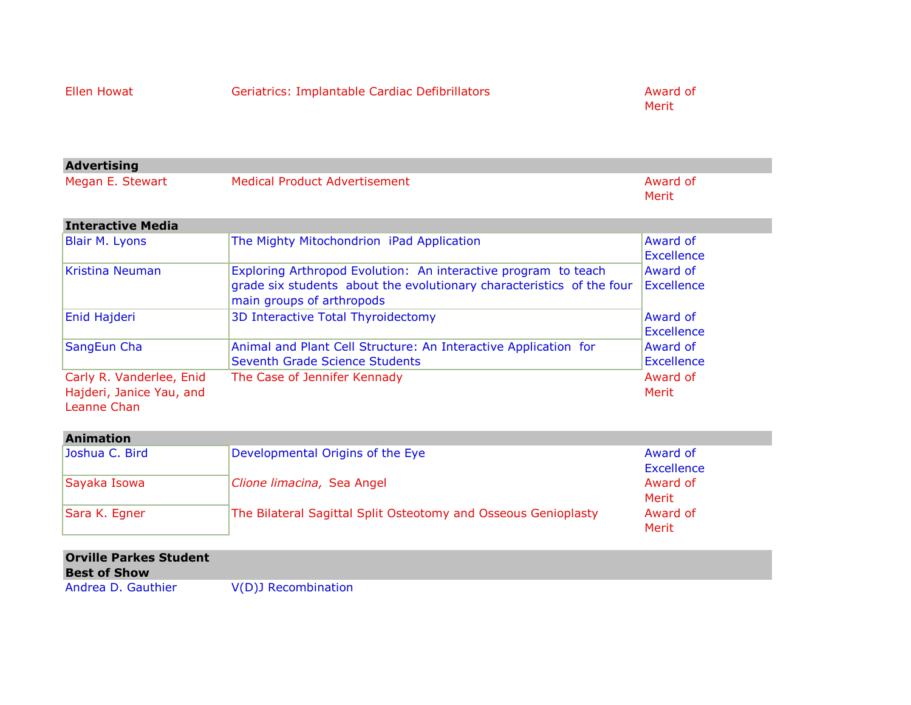|  |  |  |  | <b>Ellen Howat</b> |  |
|--|--|--|--|--------------------|--|
|--|--|--|--|--------------------|--|

Geriatrics: Implantable Cardiac Defibrillators **Award of** Award of

Merit

| <b>Advertising</b> |                               |          |
|--------------------|-------------------------------|----------|
| Megan E. Stewart   | Medical Product Advertisement | Award of |
|                    |                               | Merit    |

| <b>Interactive Media</b>                                            |                                                                                                                                                                      |                                      |
|---------------------------------------------------------------------|----------------------------------------------------------------------------------------------------------------------------------------------------------------------|--------------------------------------|
| Blair M. Lyons                                                      | The Mighty Mitochondrion iPad Application                                                                                                                            | Award of<br>Excellence               |
| Kristina Neuman                                                     | Exploring Arthropod Evolution: An interactive program to teach<br>grade six students about the evolutionary characteristics of the four<br>main groups of arthropods | Award of<br><b>Excellence</b>        |
| Enid Hajderi                                                        | 3D Interactive Total Thyroidectomy                                                                                                                                   | <b>Award of</b><br><b>Excellence</b> |
| SangEun Cha                                                         | Animal and Plant Cell Structure: An Interactive Application for<br>Seventh Grade Science Students                                                                    | Award of<br><b>Excellence</b>        |
| Carly R. Vanderlee, Enid<br>Hajderi, Janice Yau, and<br>Leanne Chan | The Case of Jennifer Kennady                                                                                                                                         | Award of<br>Merit                    |

| <b>Animation</b> |                                                                |            |
|------------------|----------------------------------------------------------------|------------|
| Joshua C. Bird   | Developmental Origins of the Eye                               | Award of   |
|                  |                                                                | Excellence |
| Sayaka Isowa     | Clione limacina, Sea Angel                                     | Award of   |
|                  |                                                                | Merit      |
| Sara K. Egner    | The Bilateral Sagittal Split Osteotomy and Osseous Genioplasty | Award of   |
|                  |                                                                | Merit      |

| <b>Orville Parkes Student</b><br><b>Best of Show</b> |                     |
|------------------------------------------------------|---------------------|
| Andrea D. Gauthier                                   | V(D)J Recombination |